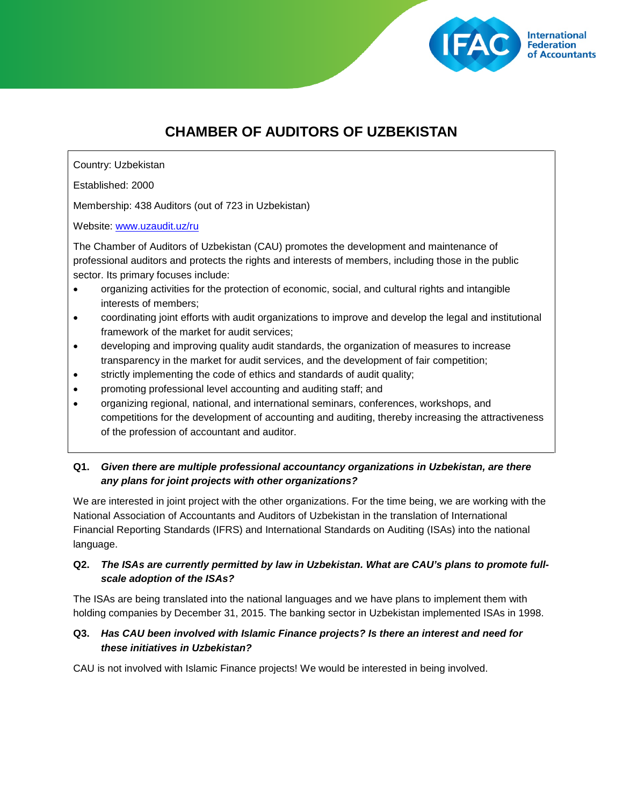

# **CHAMBER OF AUDITORS OF UZBEKISTAN**

Country: Uzbekistan

Established: 2000

Membership: 438 Auditors (out of 723 in Uzbekistan)

Website: [www.uzaudit.uz/ru](http://www.uzaudit.uz/ru)

The Chamber of Auditors of Uzbekistan (CAU) promotes the development and maintenance of professional auditors and protects the rights and interests of members, including those in the public sector. Its primary focuses include:

- organizing activities for the protection of economic, social, and cultural rights and intangible interests of members;
- coordinating joint efforts with audit organizations to improve and develop the legal and institutional framework of the market for audit services;
- developing and improving quality audit standards, the organization of measures to increase transparency in the market for audit services, and the development of fair competition;
- strictly implementing the code of ethics and standards of audit quality;
- promoting professional level accounting and auditing staff; and
- organizing regional, national, and international seminars, conferences, workshops, and competitions for the development of accounting and auditing, thereby increasing the attractiveness of the profession of accountant and auditor.

## **Q1.** *Given there are multiple professional accountancy organizations in Uzbekistan, are there any plans for joint projects with other organizations?*

We are interested in joint project with the other organizations. For the time being, we are working with the National Association of Accountants and Auditors of Uzbekistan in the translation of International Financial Reporting Standards (IFRS) and International Standards on Auditing (ISAs) into the national language.

## **Q2.** *The ISAs are currently permitted by law in Uzbekistan. What are CAU's plans to promote fullscale adoption of the ISAs?*

The ISAs are being translated into the national languages and we have plans to implement them with holding companies by December 31, 2015. The banking sector in Uzbekistan implemented ISAs in 1998.

#### **Q3.** *Has CAU been involved with Islamic Finance projects? Is there an interest and need for these initiatives in Uzbekistan?*

CAU is not involved with Islamic Finance projects! We would be interested in being involved.